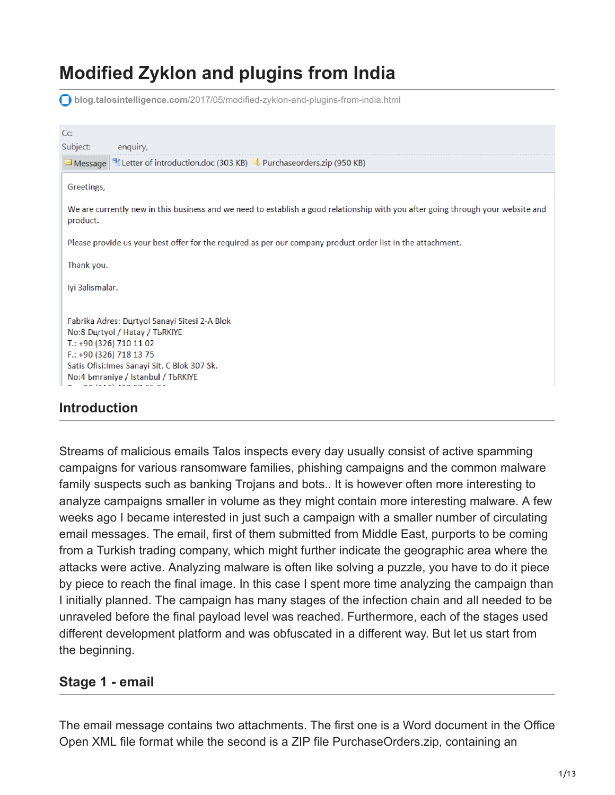# **Modified Zyklon and plugins from India**

**blog.talosintelligence.com**[/2017/05/modified-zyklon-and-plugins-from-india.html](https://blog.talosintelligence.com/2017/05/modified-zyklon-and-plugins-from-india.html)

| C <sub>C</sub>                                                                                                                                                                                                                                     |
|----------------------------------------------------------------------------------------------------------------------------------------------------------------------------------------------------------------------------------------------------|
| Subject:<br>enquiry,                                                                                                                                                                                                                               |
| Message <sup>3</sup> Letter of introduction.doc (303 KB) L Purchaseorders.zip (950 KB)                                                                                                                                                             |
| Greetings,                                                                                                                                                                                                                                         |
| We are currently new in this business and we need to establish a good relationship with you after going through your website and<br>product.                                                                                                       |
| Please provide us your best offer for the required as per our company product order list in the attachment.                                                                                                                                        |
| Thank you.                                                                                                                                                                                                                                         |
| lyi 3alismalar.                                                                                                                                                                                                                                    |
| Fabrika Adres: Durtyol Sanayi Sitesi 2-A Blok<br>No:8 Durtyol / Hatay / TbRKIYE<br>T.: +90 (326) 710 11 02<br>F.: +90 (326) 718 13 75<br>Satis Ofisi: Imes Sanayi Sit. C Blok 307 Sk.<br>No:4 bmraniye / Istanbul / TbRKIYE<br>$10.421$ and $17.7$ |
| وبالمراقبة والمستقل والمستنقل والمنافذ                                                                                                                                                                                                             |

### **Introduction**

Streams of malicious emails Talos inspects every day usually consist of active spamming campaigns for various ransomware families, phishing campaigns and the common malware family suspects such as banking Trojans and bots.. It is however often more interesting to analyze campaigns smaller in volume as they might contain more interesting malware. A few weeks ago I became interested in just such a campaign with a smaller number of circulating email messages. The email, first of them submitted from Middle East, purports to be coming from a Turkish trading company, which might further indicate the geographic area where the attacks were active. Analyzing malware is often like solving a puzzle, you have to do it piece by piece to reach the final image. In this case I spent more time analyzing the campaign than I initially planned. The campaign has many stages of the infection chain and all needed to be unraveled before the final payload level was reached. Furthermore, each of the stages used different development platform and was obfuscated in a different way. But let us start from the beginning.

#### **Stage 1 - email**

The email message contains two attachments. The first one is a Word document in the Office Open XML file format while the second is a ZIP file PurchaseOrders.zip, containing an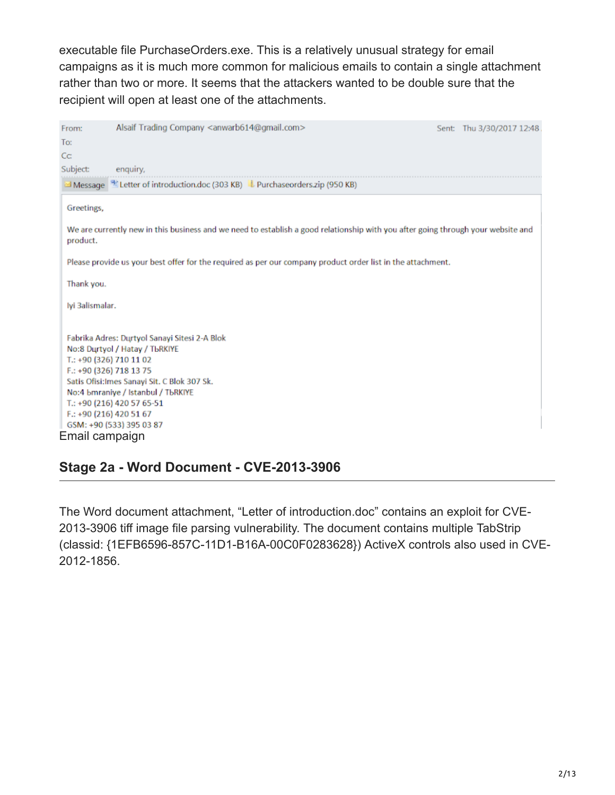executable file PurchaseOrders.exe. This is a relatively unusual strategy for email campaigns as it is much more common for malicious emails to contain a single attachment rather than two or more. It seems that the attackers wanted to be double sure that the recipient will open at least one of the attachments.

| From:                                                                                                                                                                                                                                                                                                            | Alsaif Trading Company <anwarb614@gmail.com></anwarb614@gmail.com>                                          |  | Sent: Thu 3/30/2017 12:48 |  |
|------------------------------------------------------------------------------------------------------------------------------------------------------------------------------------------------------------------------------------------------------------------------------------------------------------------|-------------------------------------------------------------------------------------------------------------|--|---------------------------|--|
| To:                                                                                                                                                                                                                                                                                                              |                                                                                                             |  |                           |  |
| C <sub>C</sub>                                                                                                                                                                                                                                                                                                   |                                                                                                             |  |                           |  |
| Subject:                                                                                                                                                                                                                                                                                                         | enguiry,                                                                                                    |  |                           |  |
|                                                                                                                                                                                                                                                                                                                  | Message <sup>92</sup> Letter of introduction.doc (303 KB) L Purchaseorders.zip (950 KB)                     |  |                           |  |
| Greetings,                                                                                                                                                                                                                                                                                                       |                                                                                                             |  |                           |  |
| We are currently new in this business and we need to establish a good relationship with you after going through your website and<br>product.                                                                                                                                                                     |                                                                                                             |  |                           |  |
|                                                                                                                                                                                                                                                                                                                  | Please provide us your best offer for the required as per our company product order list in the attachment. |  |                           |  |
| Thank you.                                                                                                                                                                                                                                                                                                       |                                                                                                             |  |                           |  |
|                                                                                                                                                                                                                                                                                                                  | lyi 3alismalar.                                                                                             |  |                           |  |
| Fabrika Adres: Durtvol Sanavi Sitesi 2-A Blok<br>No:8 Durtyol / Hatay / TbRKIYE<br>T.: +90 (326) 710 11 02<br>F.: +90 (326) 718 13 75<br>Satis Ofisi: Imes Sanayi Sit. C Blok 307 Sk.<br>No:4 bmraniye / Istanbul / TbRKIYE<br>T.: +90 (216) 420 57 65-51<br>F.: +90 (216) 420 51 67<br>GSM: +90 (533) 395 03 87 |                                                                                                             |  |                           |  |
| Email campaign                                                                                                                                                                                                                                                                                                   |                                                                                                             |  |                           |  |

### **Stage 2a - Word Document - CVE-2013-3906**

The Word document attachment, "Letter of introduction.doc" contains an exploit for CVE-2013-3906 tiff image file parsing vulnerability. The document contains multiple TabStrip (classid: {1EFB6596-857C-11D1-B16A-00C0F0283628}) ActiveX controls also used in CVE-2012-1856.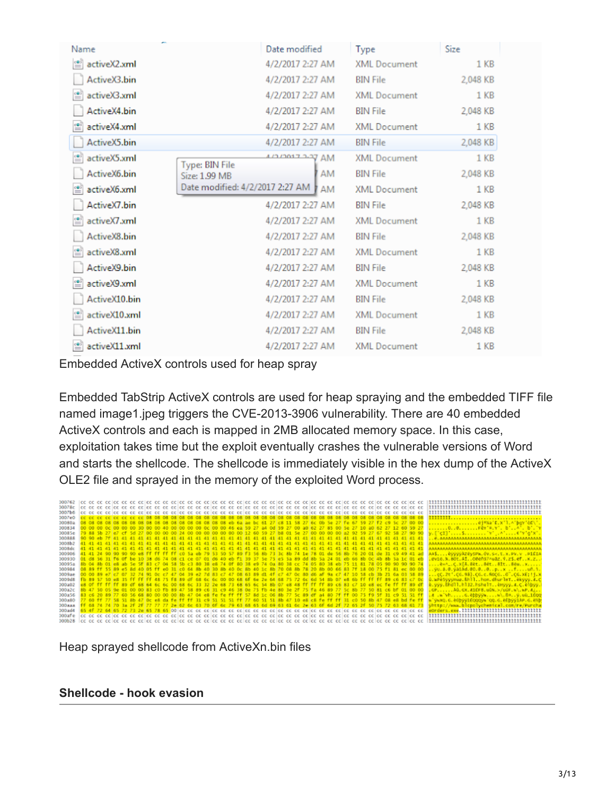| Name              | Date modified                          | <b>Type</b>         | Size     |  |
|-------------------|----------------------------------------|---------------------|----------|--|
| ≝<br>activeX2.xml | 4/2/2017 2:27 AM                       | <b>XML Document</b> | 1 KB     |  |
| ActiveX3.bin      | 4/2/2017 2:27 AM                       | <b>BIN File</b>     | 2,048 KB |  |
| activeX3.xml      | 4/2/2017 2:27 AM                       | <b>XML Document</b> | 1 KB     |  |
| ActiveX4.bin      | 4/2/2017 2:27 AM                       | <b>BIN File</b>     | 2,048 KB |  |
| activeX4.xml      | 4/2/2017 2:27 AM                       | <b>XML</b> Document | 1 KB     |  |
| ActiveX5.bin      | 4/2/2017 2:27 AM                       | <b>BIN File</b>     | 2,048 KB |  |
| activeX5.xml      | AM FOR THOMAS<br><b>Type: BIN File</b> | <b>XML Document</b> | 1 KB     |  |
| ActiveX6.bin      | AM<br>Size: 1.99 MB                    | <b>BIN File</b>     | 2,048 KB |  |
| activeX6.xml      | Date modified: 4/2/2017 2:27 AM<br>AM  | <b>XML Document</b> | 1 KB     |  |
| ActiveX7.bin      | 4/2/2017 2:27 AM                       | <b>BIN File</b>     | 2.048 KB |  |
| activeX7.xml      | 4/2/2017 2:27 AM                       | <b>XML Document</b> | 1 KB     |  |
| ActiveX8.bin      | 4/2/2017 2:27 AM                       | <b>BIN File</b>     | 2,048 KB |  |
| activeX8.xml      | 4/2/2017 2:27 AM                       | <b>XML Document</b> | 1 KB     |  |
| ActiveX9.bin      | 4/2/2017 2:27 AM                       | <b>BIN File</b>     | 2,048 KB |  |
| activeX9.xml      | 4/2/2017 2:27 AM                       | <b>XML Document</b> | 1 KB     |  |
| ActiveX10.bin     | 4/2/2017 2:27 AM                       | <b>BIN File</b>     | 2,048 KB |  |
| activeX10.xml     | 4/2/2017 2:27 AM                       | <b>XML Document</b> | $1$ KB   |  |
| ActiveX11.bin     | 4/2/2017 2:27 AM                       | <b>BIN File</b>     | 2,048 KB |  |
| activeX11.xml     | 4/2/2017 2:27 AM                       | <b>XML Document</b> | 1 KB     |  |

Embedded ActiveX controls used for heap spray

Embedded TabStrip ActiveX controls are used for heap spraying and the embedded TIFF file named image1.jpeg triggers the CVE-2013-3906 vulnerability. There are 40 embedded ActiveX controls and each is mapped in 2MB allocated memory space. In this case, exploitation takes time but the exploit eventually crashes the vulnerable versions of Word and starts the shellcode. The shellcode is immediately visible in the hex dump of the ActiveX OLE2 file and sprayed in the memory of the exploited Word process.



Heap sprayed shellcode from ActiveXn.bin files

#### **Shellcode - hook evasion**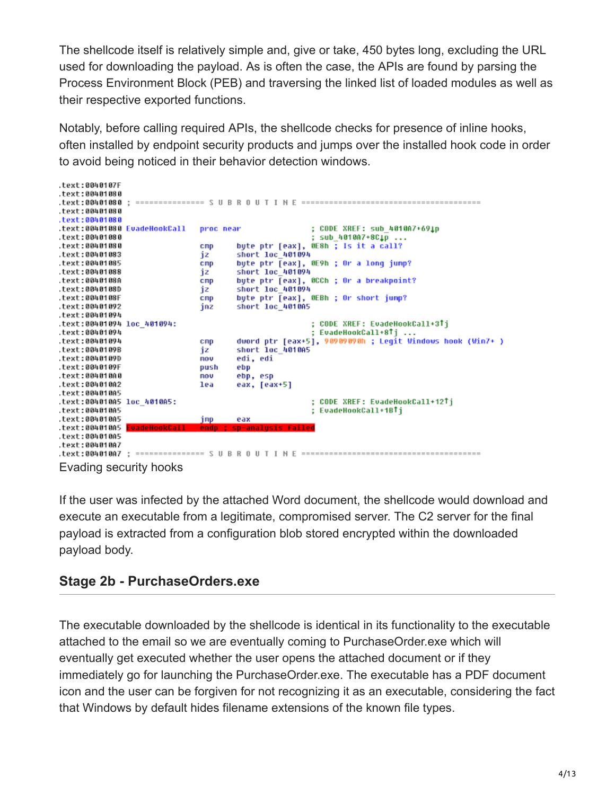The shellcode itself is relatively simple and, give or take, 450 bytes long, excluding the URL used for downloading the payload. As is often the case, the APIs are found by parsing the Process Environment Block (PEB) and traversing the linked list of loaded modules as well as their respective exported functions.

Notably, before calling required APIs, the shellcode checks for presence of inline hooks, often installed by endpoint security products and jumps over the installed hook code in order to avoid being noticed in their behavior detection windows.

```
.text:0040107F
.text:00401080
.text:00401080
.text:00401080
                                                ; CODE XREF: sub 4010A7+691p
.text:00401080 EvadeHookCall
                          proc near
.text:00401080
                                                ; sub_4010A7+8C1p ...
.text:00401080
                           cmp
                                  byte ptr [eax], OE8h ; Is it a call?
.text:00401083
                                  short loc 401094
                           iz
.19x1:88481885byte ptr [eax], 0E9h ; Or a long jump?
                           cmp
.text:00401088
                                  short loc 401094
                           iz
.text:0040108A
                                  byte ptr [eax], 0CCh ; Or a breakpoint?
                           cmp
.text:0040108D
                                 short 1oc 401094
                           iz
                                 byte ptr [eax], OEBh ; Or short jump?
.text:0040108F
                           cmp
.text:00401092
                           jnz
                                 short loc_4010A5
.text:00401094
                                                ; CODE XREF: EvadeHookCall+3Tj
.text:00401094 loc 401094:
text:00401094
                                                ; EvadeHookCall+8Tj .
                                  dword ptr [eax+5], 90909090h ; Legīt Windows hook (Win7+ )
.text:00401094
                           cnp
                                  short loc 4010A5
.text:0040109B
                           iz
.text:0040109D
                           nou
                                  edi, edi
.text:0040109F
                           push
                                  ebp
.text:004010A0
                                  ebp, esp
                           nov
                          lea
.text:004010A2
                                  eax, [eax+5]
.text:00401005
.text:004010A5 loc_4010A5:
                                                ; CODE XREF: EvadeHookCall+12Tj
.text:004010A5
                                                ; EvadeHookCall+1BTj
.text:004010A5
                           inp
                                  eax
text:00401005analusis
text:004010A5
.text:004010A7
```
Evading security hooks

If the user was infected by the attached Word document, the shellcode would download and execute an executable from a legitimate, compromised server. The C2 server for the final payload is extracted from a configuration blob stored encrypted within the downloaded payload body.

### **Stage 2b - PurchaseOrders.exe**

The executable downloaded by the shellcode is identical in its functionality to the executable attached to the email so we are eventually coming to PurchaseOrder.exe which will eventually get executed whether the user opens the attached document or if they immediately go for launching the PurchaseOrder.exe. The executable has a PDF document icon and the user can be forgiven for not recognizing it as an executable, considering the fact that Windows by default hides filename extensions of the known file types.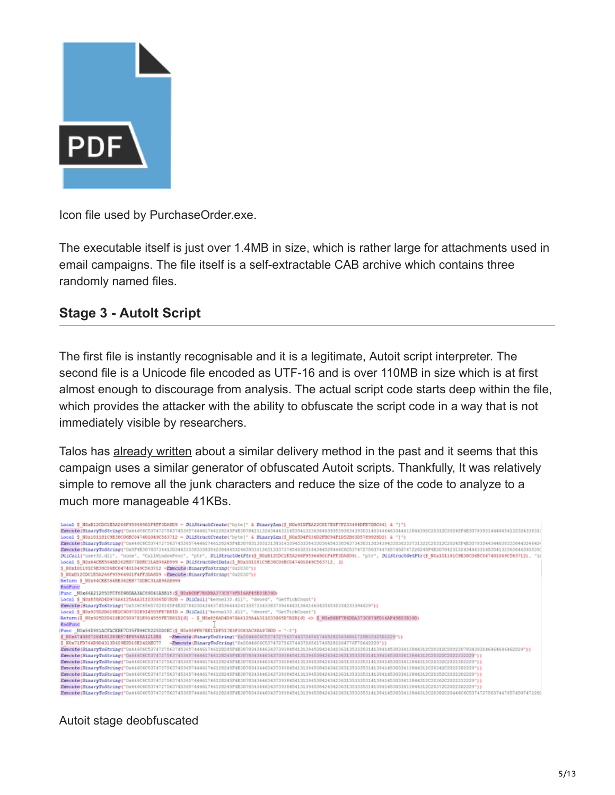

Icon file used by PurchaseOrder.exe.

The executable itself is just over 1.4MB in size, which is rather large for attachments used in email campaigns. The file itself is a self-extractable CAB archive which contains three randomly named files.

#### **Stage 3 - AutoIt Script**

The first file is instantly recognisable and it is a legitimate, Autoit script interpreter. The second file is a Unicode file encoded as UTF-16 and is over 110MB in size which is at first almost enough to discourage from analysis. The actual script code starts deep within the file, which provides the attacker with the ability to obfuscate the script code in a way that is not immediately visible by researchers.

Talos has [already written](https://blog.talosintelligence.com/2015/08/malware-meets-sysadmin-automation-tools.html) about a similar delivery method in the past and it seems that this campaign uses a similar generator of obfuscated Autoit scripts. Thankfully, It was relatively simple to remove all the junk characters and reduce the size of the code to analyze to a much more manageable 41KBs.

| Local \$ NDxB12CDC1E5A266F95964901F4FF1DA8D9 = DLLStructCreate("byte[" & BinaryLem(\$ H0x91DFEA22C817H3F7F233484DFE7DBC64) & "]")<br>Execute(BinaryToString("Ox446C6C5374727563745355744461746128245F4E3078423132434443314535413236<br>Local \$ N0x101181C9E38C06EC047401049C563712 = DLLStructCreate("byte[" & BimaryLem(\$ N0x5D4F036D2FBC94F1D52B63D5789928D2) & "}")<br>Execute (BinaryToString)"0x4460605374727563745365744461746128245F4E30783130313138314339453338433034454330343734303130343943353633373130202031302020312020245F4E30783544344630333644524643<br>Execute(BinaryToString("0x5F4E30783734413034433338338343454445324639333136313337374546323144344528446C6C53747275637447657450747228245F4E30784231324344433145154132363646393539<br>DilCall("user32.dll", "none", "CallWindowFroo", "ptr", DilStructGetFtr(\$ NOxS12CDC1ESA266F95964901F4FF3DA8D9), "ptr", DilStructGetFtr(\$ NOx101181C9E38C06EC047401049C563712), "ii<br>Local \$ N0x64CEE564BE362EB77DDBC31AB98AB999 = DLLStructGetData(\$ N0x101181C9E38C06EC047401049C563712, 1)<br>\$ NOx101181C9E38C04EC047401049C563712 =Execute(HinaryToString("0x2030")) |  |  |  |  |  |
|-------------------------------------------------------------------------------------------------------------------------------------------------------------------------------------------------------------------------------------------------------------------------------------------------------------------------------------------------------------------------------------------------------------------------------------------------------------------------------------------------------------------------------------------------------------------------------------------------------------------------------------------------------------------------------------------------------------------------------------------------------------------------------------------------------------------------------------------------------------------------------------------------------------------------------------------------------------------------------------------------------------------------------------------------------------------------------------------------------------------------------------------|--|--|--|--|--|
| \$ NOxB12CDC1E5A266F95964901F4FF3DARD9 =Execute(BinaryToString("0x2030"))                                                                                                                                                                                                                                                                                                                                                                                                                                                                                                                                                                                                                                                                                                                                                                                                                                                                                                                                                                                                                                                                 |  |  |  |  |  |
| Return \$ NOx64CEE564BE362EB77DOBC31AB98AB999                                                                                                                                                                                                                                                                                                                                                                                                                                                                                                                                                                                                                                                                                                                                                                                                                                                                                                                                                                                                                                                                                             |  |  |  |  |  |
| <b>EndFund</b>                                                                                                                                                                                                                                                                                                                                                                                                                                                                                                                                                                                                                                                                                                                                                                                                                                                                                                                                                                                                                                                                                                                            |  |  |  |  |  |
| Func M0x66A212050FCF0D9BDAAJAC09D41ABB15(\$ N0xB0BF7E6DBA373C879FD16AF45E03B39D)                                                                                                                                                                                                                                                                                                                                                                                                                                                                                                                                                                                                                                                                                                                                                                                                                                                                                                                                                                                                                                                          |  |  |  |  |  |
| Local \$ N0x858AD4D970A6125A4A311033065D7B2B = DLLCall("kernel32.dll", "dword", "GetTickCount")                                                                                                                                                                                                                                                                                                                                                                                                                                                                                                                                                                                                                                                                                                                                                                                                                                                                                                                                                                                                                                           |  |  |  |  |  |
| Execute(BinaryToString("0x536C65657028245F4E3078423042463745364442413337334338373946443136414634354530334233394429"))                                                                                                                                                                                                                                                                                                                                                                                                                                                                                                                                                                                                                                                                                                                                                                                                                                                                                                                                                                                                                     |  |  |  |  |  |
| Local \$ N0x925D2D618E2C909701E91455SFE7B81D = DIICall{"kernel32.dll", "dword", "GetTickCount")                                                                                                                                                                                                                                                                                                                                                                                                                                                                                                                                                                                                                                                                                                                                                                                                                                                                                                                                                                                                                                           |  |  |  |  |  |
| Return(\$ N0x925D2D618E2C909701E914555FE7B81D[0] - \$ N0x858AD4D970A6125A4A311033065D7B2B[0] <> \$ N0xB0BF7E6DBA373C879FD16AF45E03B39D)                                                                                                                                                                                                                                                                                                                                                                                                                                                                                                                                                                                                                                                                                                                                                                                                                                                                                                                                                                                                   |  |  |  |  |  |
| <b>EndPand</b>                                                                                                                                                                                                                                                                                                                                                                                                                                                                                                                                                                                                                                                                                                                                                                                                                                                                                                                                                                                                                                                                                                                            |  |  |  |  |  |
| Func _M0x56D981ACFACEBE7D35FB96C6225DD0EC(\$ N0x95FFB7EE11DF517E3F3083AC8DA97BDD = "-1"}                                                                                                                                                                                                                                                                                                                                                                                                                                                                                                                                                                                                                                                                                                                                                                                                                                                                                                                                                                                                                                                  |  |  |  |  |  |
| \$ N0x6740807284181289B574F8568A1212K0 -Execute(BinaryToString("0x20446C6C5374727563744372656174652822636861725B33325D2229"))                                                                                                                                                                                                                                                                                                                                                                                                                                                                                                                                                                                                                                                                                                                                                                                                                                                                                                                                                                                                             |  |  |  |  |  |
| -Execute(BinaryToString("0x20446060537472756374437265617465282264776F72642229"))<br>\$ NOx71FD764B9D4313D629E2D10E242AEC77                                                                                                                                                                                                                                                                                                                                                                                                                                                                                                                                                                                                                                                                                                                                                                                                                                                                                                                                                                                                                |  |  |  |  |  |
| Execute (BinaryToString("0x446C6C5374727563745265744461746128245F4E3078344634373938854131394538424342458125333531413841453033413844312C20312C20312C203230783430314646464646462229"}}                                                                                                                                                                                                                                                                                                                                                                                                                                                                                                                                                                                                                                                                                                                                                                                                                                                                                                                                                      |  |  |  |  |  |
| Execute (BinaryToString("Dx446C6C5374727563745365744461746128245F4E307834344634373938454131394538424342363135333531413841453033413844312C20322C2022332229"))                                                                                                                                                                                                                                                                                                                                                                                                                                                                                                                                                                                                                                                                                                                                                                                                                                                                                                                                                                              |  |  |  |  |  |
| Execute (BinaryToString("0x446C6C5374727563745365744461746120245F4E307034344634373938454131394538424342363135333531413841453033413844312C20332C2022302229"))                                                                                                                                                                                                                                                                                                                                                                                                                                                                                                                                                                                                                                                                                                                                                                                                                                                                                                                                                                              |  |  |  |  |  |
| Execute (BinaryToString("0x446C6C5374727563745365744461746128245F4E307834344634373938454131394538424342363135333531413841453033413844312C20342C2022302229"))                                                                                                                                                                                                                                                                                                                                                                                                                                                                                                                                                                                                                                                                                                                                                                                                                                                                                                                                                                              |  |  |  |  |  |
| Execute (BinaryToString("0x446C6C5374727563745365744461746128245F4E307834344634373938454131394538424342363135333531413841453033413844312C20352C2022302229"))                                                                                                                                                                                                                                                                                                                                                                                                                                                                                                                                                                                                                                                                                                                                                                                                                                                                                                                                                                              |  |  |  |  |  |
| Execute (BinaryToString("0x446C6C5374727563745365744461746128245F4E307834344634373938454131394538424342363135333531413841453033413844312C20362C2022312229"))                                                                                                                                                                                                                                                                                                                                                                                                                                                                                                                                                                                                                                                                                                                                                                                                                                                                                                                                                                              |  |  |  |  |  |
| Execute (BinaryToString("0x446C6C5374727563745365744461746120245F4E307034344634373938454131394538424342363135333531413841453033413844312C20372C20372C2022302229")}                                                                                                                                                                                                                                                                                                                                                                                                                                                                                                                                                                                                                                                                                                                                                                                                                                                                                                                                                                        |  |  |  |  |  |
| Execute (BinaryToString("0x446C6C5374727563745365744461746128245F4E30783434463437393845413139453842434236313533531413841453033413844312C20382C20446C6C5374727563746765745228                                                                                                                                                                                                                                                                                                                                                                                                                                                                                                                                                                                                                                                                                                                                                                                                                                                                                                                                                              |  |  |  |  |  |

Autoit stage deobfuscated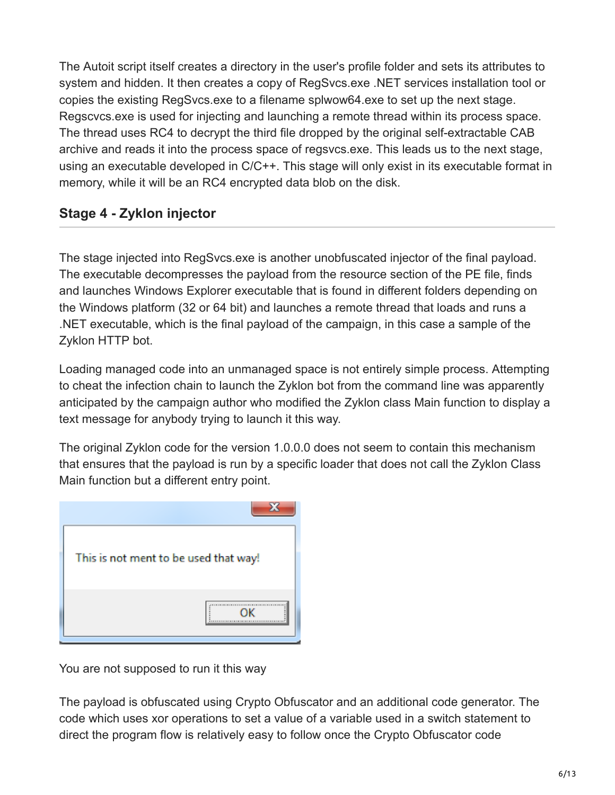The Autoit script itself creates a directory in the user's profile folder and sets its attributes to system and hidden. It then creates a copy of RegSvcs.exe .NET services installation tool or copies the existing RegSvcs.exe to a filename splwow64.exe to set up the next stage. Regscvcs.exe is used for injecting and launching a remote thread within its process space. The thread uses RC4 to decrypt the third file dropped by the original self-extractable CAB archive and reads it into the process space of regsvcs.exe. This leads us to the next stage, using an executable developed in C/C++. This stage will only exist in its executable format in memory, while it will be an RC4 encrypted data blob on the disk.

# **Stage 4 - Zyklon injector**

The stage injected into RegSvcs.exe is another unobfuscated injector of the final payload. The executable decompresses the payload from the resource section of the PE file, finds and launches Windows Explorer executable that is found in different folders depending on the Windows platform (32 or 64 bit) and launches a remote thread that loads and runs a .NET executable, which is the final payload of the campaign, in this case a sample of the Zyklon HTTP bot.

Loading managed code into an unmanaged space is not entirely simple process. Attempting to cheat the infection chain to launch the Zyklon bot from the command line was apparently anticipated by the campaign author who modified the Zyklon class Main function to display a text message for anybody trying to launch it this way.

The original Zyklon code for the version 1.0.0.0 does not seem to contain this mechanism that ensures that the payload is run by a specific loader that does not call the Zyklon Class Main function but a different entry point.

| This is not ment to be used that way! |
|---------------------------------------|
|                                       |

You are not supposed to run it this way

The payload is obfuscated using Crypto Obfuscator and an additional code generator. The code which uses xor operations to set a value of a variable used in a switch statement to direct the program flow is relatively easy to follow once the Crypto Obfuscator code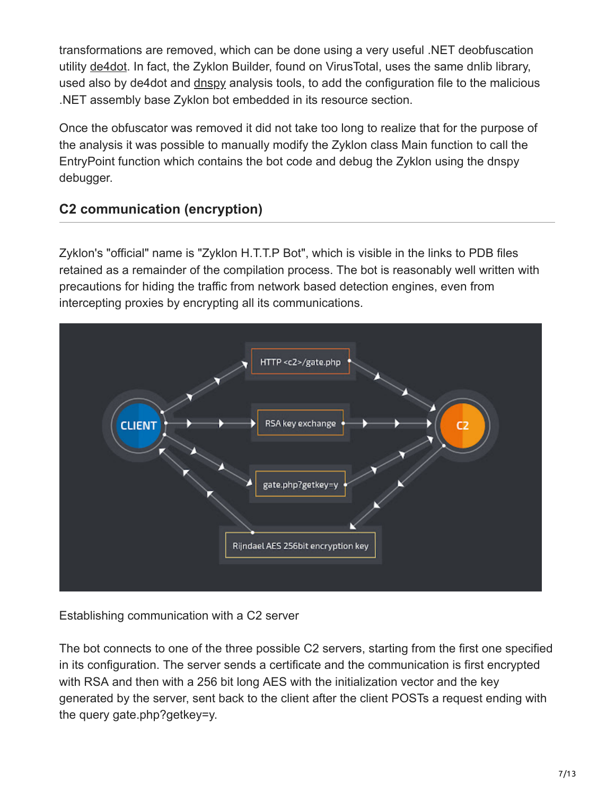transformations are removed, which can be done using a very useful .NET deobfuscation utility [de4dot](https://github.com/0xd4d/de4dot). In fact, the Zyklon Builder, found on VirusTotal, uses the same dnlib library, used also by de4dot and [dnspy](https://github.com/0xd4d/dnSpy) analysis tools, to add the configuration file to the malicious .NET assembly base Zyklon bot embedded in its resource section.

Once the obfuscator was removed it did not take too long to realize that for the purpose of the analysis it was possible to manually modify the Zyklon class Main function to call the EntryPoint function which contains the bot code and debug the Zyklon using the dnspy debugger.

# **C2 communication (encryption)**

Zyklon's "official" name is "Zyklon H.T.T.P Bot", which is visible in the links to PDB files retained as a remainder of the compilation process. The bot is reasonably well written with precautions for hiding the traffic from network based detection engines, even from intercepting proxies by encrypting all its communications.



Establishing communication with a C2 server

The bot connects to one of the three possible C2 servers, starting from the first one specified in its configuration. The server sends a certificate and the communication is first encrypted with RSA and then with a 256 bit long AES with the initialization vector and the key generated by the server, sent back to the client after the client POSTs a request ending with the query gate.php?getkey=y.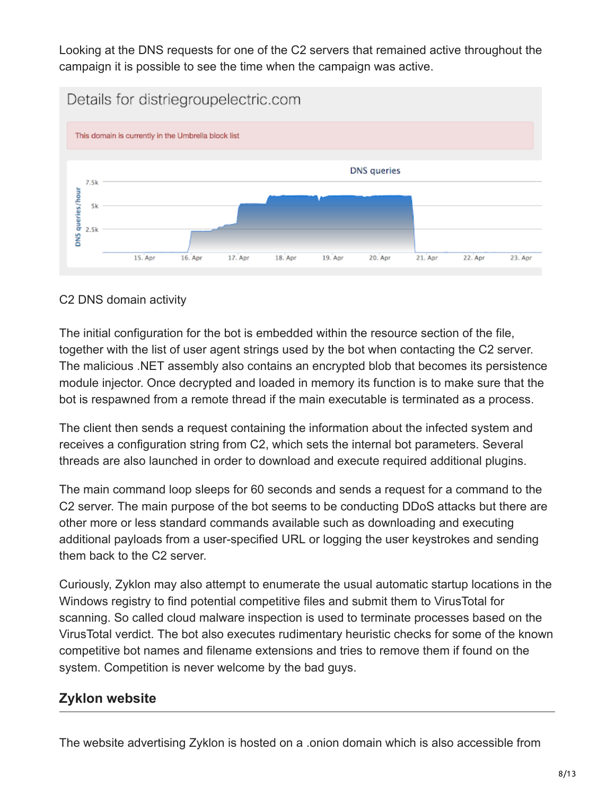Looking at the DNS requests for one of the C2 servers that remained active throughout the campaign it is possible to see the time when the campaign was active.



#### C2 DNS domain activity

The initial configuration for the bot is embedded within the resource section of the file, together with the list of user agent strings used by the bot when contacting the C2 server. The malicious .NET assembly also contains an encrypted blob that becomes its persistence module injector. Once decrypted and loaded in memory its function is to make sure that the bot is respawned from a remote thread if the main executable is terminated as a process.

The client then sends a request containing the information about the infected system and receives a configuration string from C2, which sets the internal bot parameters. Several threads are also launched in order to download and execute required additional plugins.

The main command loop sleeps for 60 seconds and sends a request for a command to the C2 server. The main purpose of the bot seems to be conducting DDoS attacks but there are other more or less standard commands available such as downloading and executing additional payloads from a user-specified URL or logging the user keystrokes and sending them back to the C2 server.

Curiously, Zyklon may also attempt to enumerate the usual automatic startup locations in the Windows registry to find potential competitive files and submit them to VirusTotal for scanning. So called cloud malware inspection is used to terminate processes based on the VirusTotal verdict. The bot also executes rudimentary heuristic checks for some of the known competitive bot names and filename extensions and tries to remove them if found on the system. Competition is never welcome by the bad guys.

### **Zyklon website**

The website advertising Zyklon is hosted on a .onion domain which is also accessible from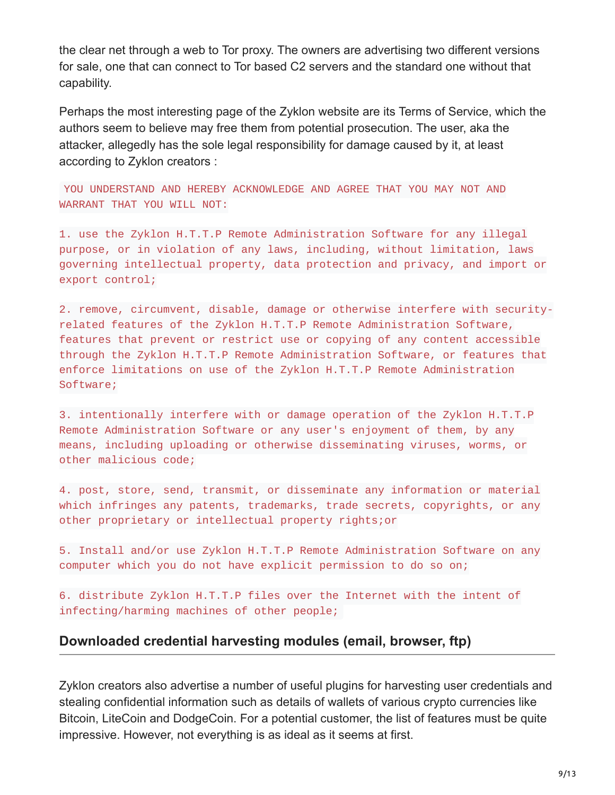the clear net through a web to Tor proxy. The owners are advertising two different versions for sale, one that can connect to Tor based C2 servers and the standard one without that capability.

Perhaps the most interesting page of the Zyklon website are its Terms of Service, which the authors seem to believe may free them from potential prosecution. The user, aka the attacker, allegedly has the sole legal responsibility for damage caused by it, at least according to Zyklon creators :

YOU UNDERSTAND AND HEREBY ACKNOWLEDGE AND AGREE THAT YOU MAY NOT AND WARRANT THAT YOU WILL NOT:

1. use the Zyklon H.T.T.P Remote Administration Software for any illegal purpose, or in violation of any laws, including, without limitation, laws governing intellectual property, data protection and privacy, and import or export control;

2. remove, circumvent, disable, damage or otherwise interfere with securityrelated features of the Zyklon H.T.T.P Remote Administration Software, features that prevent or restrict use or copying of any content accessible through the Zyklon H.T.T.P Remote Administration Software, or features that enforce limitations on use of the Zyklon H.T.T.P Remote Administration Software;

3. intentionally interfere with or damage operation of the Zyklon H.T.T.P Remote Administration Software or any user's enjoyment of them, by any means, including uploading or otherwise disseminating viruses, worms, or other malicious code;

4. post, store, send, transmit, or disseminate any information or material which infringes any patents, trademarks, trade secrets, copyrights, or any other proprietary or intellectual property rights;or

5. Install and/or use Zyklon H.T.T.P Remote Administration Software on any computer which you do not have explicit permission to do so on;

6. distribute Zyklon H.T.T.P files over the Internet with the intent of infecting/harming machines of other people;

#### **Downloaded credential harvesting modules (email, browser, ftp)**

Zyklon creators also advertise a number of useful plugins for harvesting user credentials and stealing confidential information such as details of wallets of various crypto currencies like Bitcoin, LiteCoin and DodgeCoin. For a potential customer, the list of features must be quite impressive. However, not everything is as ideal as it seems at first.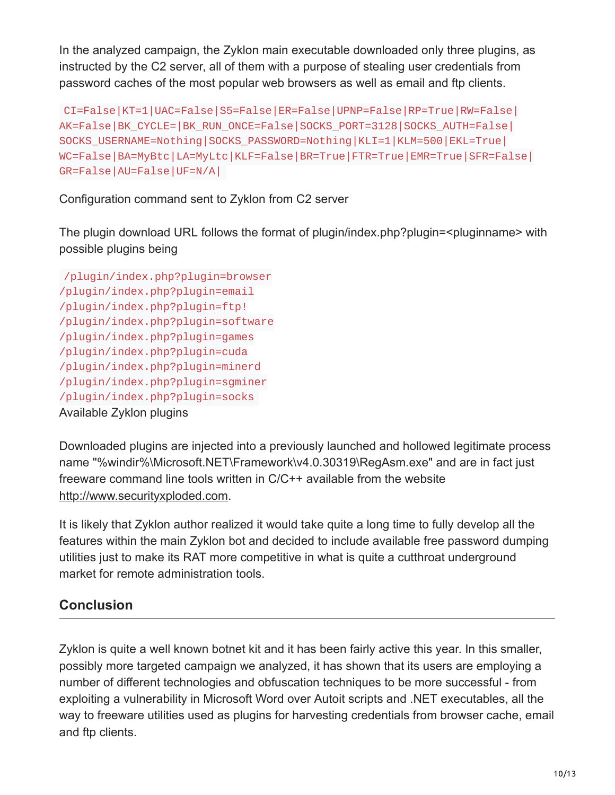In the analyzed campaign, the Zyklon main executable downloaded only three plugins, as instructed by the C2 server, all of them with a purpose of stealing user credentials from password caches of the most popular web browsers as well as email and ftp clients.

```
CI=False|KT=1|UAC=False|S5=False|ER=False|UPNP=False|RP=True|RW=False|
AK=False|BK_CYCLE=|BK_RUN_ONCE=False|SOCKS_PORT=3128|SOCKS_AUTH=False|
SOCKS_USERNAME=Nothing|SOCKS_PASSWORD=Nothing|KLI=1|KLM=500|EKL=True|
WC=False|BA=MyBtc|LA=MyLtc|KLF=False|BR=True|FTR=True|EMR=True|SFR=False|
GR=False|AU=False|UF=N/A|
```
Configuration command sent to Zyklon from C2 server

The plugin download URL follows the format of plugin/index.php?plugin=<pluginname> with possible plugins being

```
/plugin/index.php?plugin=browser
/plugin/index.php?plugin=email
/plugin/index.php?plugin=ftp!
/plugin/index.php?plugin=software
/plugin/index.php?plugin=games
/plugin/index.php?plugin=cuda
/plugin/index.php?plugin=minerd
/plugin/index.php?plugin=sgminer
/plugin/index.php?plugin=socks
Available Zyklon plugins
```
Downloaded plugins are injected into a previously launched and hollowed legitimate process name "%windir%\Microsoft.NET\Framework\v4.0.30319\RegAsm.exe" and are in fact just freeware command line tools written in C/C++ available from the website [http://www.securityxploded.com](http://www.securityxploded.com/).

It is likely that Zyklon author realized it would take quite a long time to fully develop all the features within the main Zyklon bot and decided to include available free password dumping utilities just to make its RAT more competitive in what is quite a cutthroat underground market for remote administration tools.

# **Conclusion**

Zyklon is quite a well known botnet kit and it has been fairly active this year. In this smaller, possibly more targeted campaign we analyzed, it has shown that its users are employing a number of different technologies and obfuscation techniques to be more successful - from exploiting a vulnerability in Microsoft Word over Autoit scripts and .NET executables, all the way to freeware utilities used as plugins for harvesting credentials from browser cache, email and ftp clients.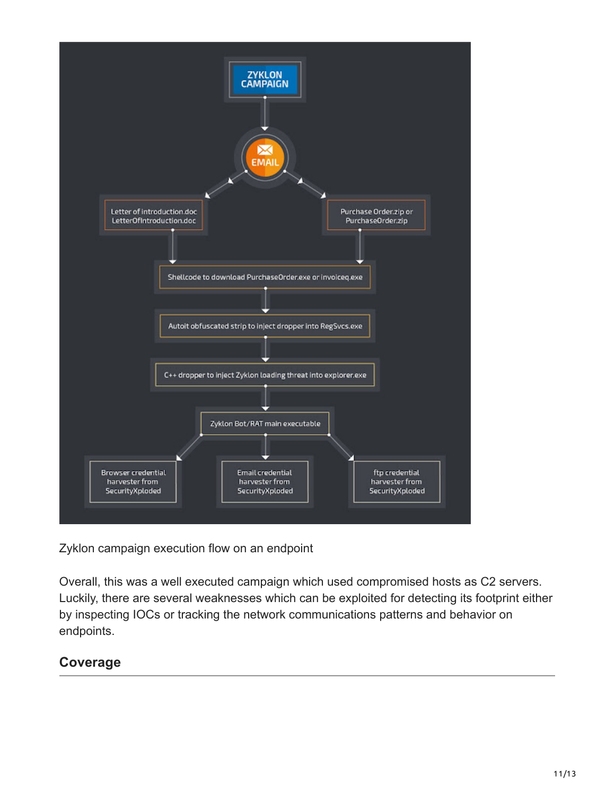

Zyklon campaign execution flow on an endpoint

Overall, this was a well executed campaign which used compromised hosts as C2 servers. Luckily, there are several weaknesses which can be exploited for detecting its footprint either by inspecting IOCs or tracking the network communications patterns and behavior on endpoints.

# **Coverage**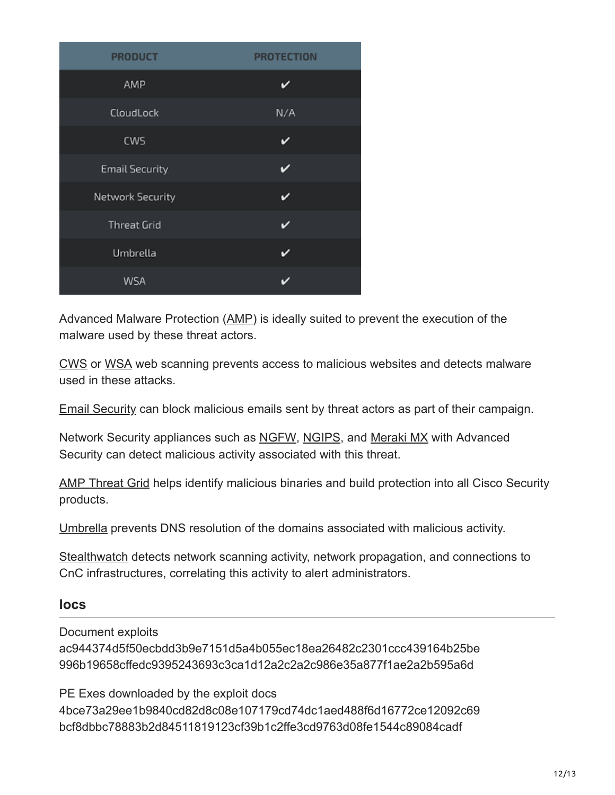| <b>PRODUCT</b>        | <b>PROTECTION</b> |
|-----------------------|-------------------|
| AMP                   | v                 |
| CloudLock             | N/A               |
| <b>CWS</b>            | ✓                 |
| <b>Email Security</b> | v                 |
| Network Security      | ັ                 |
| <b>Threat Grid</b>    |                   |
| Umbrella              | ı                 |
| <b>WSA</b>            |                   |

Advanced Malware Protection ([AMP\)](https://www.cisco.com/c/en/us/support/security/amp-firepower-software-license/tsd-products-support-series-home.html) is ideally suited to prevent the execution of the malware used by these threat actors.

[CWS](https://www.cisco.com/c/en/us/products/security/cloud-web-security/index.html) or [WSA](https://www.cisco.com/c/en/us/products/security/web-security-appliance/index.html) web scanning prevents access to malicious websites and detects malware used in these attacks.

[Email Security](https://www.cisco.com/c/en/us/products/security/email-security-appliance/index.html) can block malicious emails sent by threat actors as part of their campaign.

Network Security appliances such as [NGFW](https://www.cisco.com/c/en/us/products/security/asa-next-generation-firewall-services/index.html), [NGIPS](https://www.cisco.com/c/en/us/products/security/intrusion-prevention-system-ips/index.html), and [Meraki MX](https://meraki.cisco.com/products/appliances) with Advanced Security can detect malicious activity associated with this threat.

[AMP Threat Grid](https://www.cisco.com/c/en/us/solutions/enterprise-networks/amp-threat-grid/index.html) helps identify malicious binaries and build protection into all Cisco Security products.

[Umbrella](https://umbrella.cisco.com/) prevents DNS resolution of the domains associated with malicious activity.

[Stealthwatch](https://www.cisco.com/c/en/us/products/security/stealthwatch/index.html) detects network scanning activity, network propagation, and connections to CnC infrastructures, correlating this activity to alert administrators.

#### **Iocs**

Document exploits

ac944374d5f50ecbdd3b9e7151d5a4b055ec18ea26482c2301ccc439164b25be 996b19658cffedc9395243693c3ca1d12a2c2a2c986e35a877f1ae2a2b595a6d

PE Exes downloaded by the exploit docs 4bce73a29ee1b9840cd82d8c08e107179cd74dc1aed488f6d16772ce12092c69 bcf8dbbc78883b2d84511819123cf39b1c2ffe3cd9763d08fe1544c89084cadf